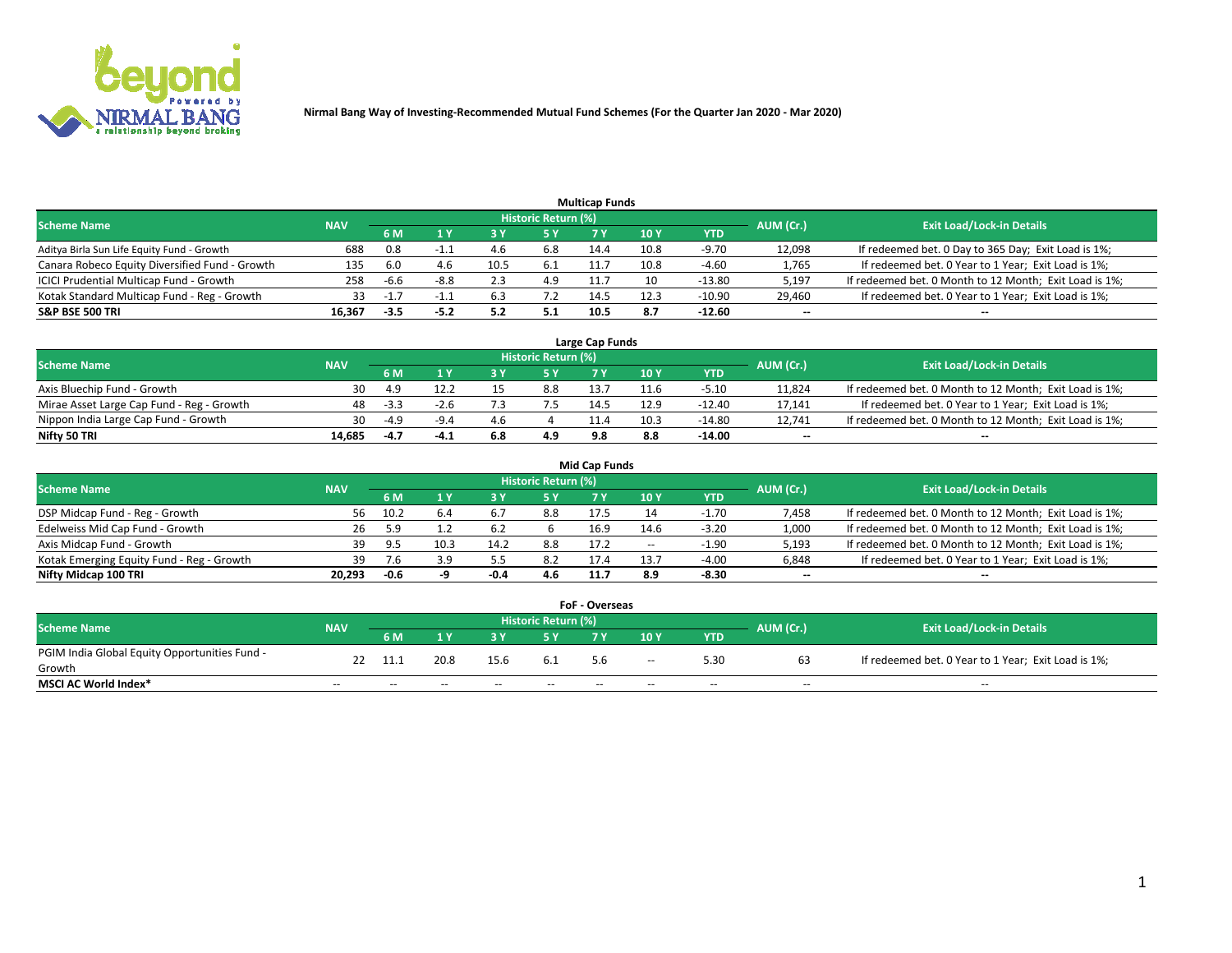

| <b>Multicap Funds</b>                          |            |        |        |      |                     |      |      |         |                          |                                                        |  |  |  |  |
|------------------------------------------------|------------|--------|--------|------|---------------------|------|------|---------|--------------------------|--------------------------------------------------------|--|--|--|--|
| Scheme Name                                    | <b>NAV</b> |        |        |      | Historic Return (%) |      |      |         | AUM (Cr.)                | <b>Exit Load/Lock-in Details</b>                       |  |  |  |  |
|                                                |            | 6 M    |        |      | 5 Y                 | 7 Y  | 10Y  | YTD     |                          |                                                        |  |  |  |  |
| Aditya Birla Sun Life Equity Fund - Growth     | 688        | 0.8    |        |      | 6.8                 | 14.4 | 10.8 | -9.70   | 12,098                   | If redeemed bet. 0 Day to 365 Day; Exit Load is 1%;    |  |  |  |  |
| Canara Robeco Equity Diversified Fund - Growth | 135        |        |        | 10.5 | 6.1                 | 11.  | 10.8 | $-4.60$ | 1,765                    | If redeemed bet. 0 Year to 1 Year; Exit Load is 1%;    |  |  |  |  |
| ICICI Prudential Multicap Fund - Growth        | 258        | $-6.6$ | $-8.8$ |      | 4.9                 |      |      | -13.80  | 5,197                    | If redeemed bet. 0 Month to 12 Month; Exit Load is 1%; |  |  |  |  |
| Kotak Standard Multicap Fund - Reg - Growth    | 33         | $-1$   |        |      | 7.2                 | 14.5 | 12.3 | -10.90  | 29,460                   | If redeemed bet. 0 Year to 1 Year; Exit Load is 1%;    |  |  |  |  |
| <b>S&amp;P BSE 500 TRI</b>                     | 16.367     | $-3.5$ | $-5.2$ |      | 5.1                 | 10.5 |      | -12.60  | $\overline{\phantom{a}}$ | $\overline{\phantom{a}}$                               |  |  |  |  |

| Large Cap Funds                           |            |           |                                  |  |     |     |      |          |        |                                                        |  |  |  |  |
|-------------------------------------------|------------|-----------|----------------------------------|--|-----|-----|------|----------|--------|--------------------------------------------------------|--|--|--|--|
| Scheme Name                               | <b>NAV</b> | AUM (Cr.) | <b>Exit Load/Lock-in Details</b> |  |     |     |      |          |        |                                                        |  |  |  |  |
|                                           |            | 6 M       |                                  |  | 5 Y |     | 10Y  | YTD      |        |                                                        |  |  |  |  |
| Axis Bluechip Fund - Growth               | 30         |           | 12.2                             |  | 8.8 |     | 11.6 | $-5.10$  | 11,824 | If redeemed bet. 0 Month to 12 Month; Exit Load is 1%; |  |  |  |  |
| Mirae Asset Large Cap Fund - Reg - Growth | 48         | $-3.3$    | -2.h                             |  |     | 14. | 12.9 | $-12.40$ | 17,141 | If redeemed bet. 0 Year to 1 Year; Exit Load is 1%;    |  |  |  |  |
| Nippon India Large Cap Fund - Growth      | 30         | $-4.9$    | $-9.4$                           |  |     |     | 10.3 | -14.80   | 12.741 | If redeemed bet. 0 Month to 12 Month; Exit Load is 1%; |  |  |  |  |
| Nifty 50 TRI                              | 14,685     |           |                                  |  | 4.9 | 9.8 |      | $-14.00$ | $\sim$ | $\sim$                                                 |  |  |  |  |

| <b>Mid Cap Funds</b>                      |            |        |      |      |                     |      |       |         |           |                                                        |  |  |  |  |
|-------------------------------------------|------------|--------|------|------|---------------------|------|-------|---------|-----------|--------------------------------------------------------|--|--|--|--|
| <b>Scheme Name</b>                        | <b>NAV</b> |        |      |      | Historic Return (%) |      |       |         | AUM (Cr.) | <b>Exit Load/Lock-in Details</b>                       |  |  |  |  |
|                                           |            | 6 M    |      |      |                     |      | 10 Y  | YTD     |           |                                                        |  |  |  |  |
| DSP Midcap Fund - Reg - Growth            | 56.        | 10.2   | 6.4  | b.,  | 8.8                 | 17.5 |       | $-1.70$ | 7,458     | If redeemed bet. 0 Month to 12 Month; Exit Load is 1%; |  |  |  |  |
| Edelweiss Mid Cap Fund - Growth           | 26         |        |      | 6.2  |                     | 16.9 | 14.6  | $-3.20$ | 1,000     | If redeemed bet. 0 Month to 12 Month; Exit Load is 1%; |  |  |  |  |
| Axis Midcap Fund - Growth                 | 39         | 9.5    | 10.3 | 14.2 | 8.8                 | 17.2 | $- -$ | $-1.90$ | 5,193     | If redeemed bet. 0 Month to 12 Month; Exit Load is 1%; |  |  |  |  |
| Kotak Emerging Equity Fund - Reg - Growth | 39.        |        | 3.9  |      | 8.2                 | 17.4 | 13.7  | $-4.00$ | 6,848     | If redeemed bet. 0 Year to 1 Year; Exit Load is 1%;    |  |  |  |  |
| Nifty Midcap 100 TRI                      | 20.293     | $-0.6$ |      | -0.4 | 4.6                 | 11.7 | 8.9   | $-8.30$ | $\sim$    | $\sim$                                                 |  |  |  |  |

| <b>FoF - Overseas</b>                         |            |       |       |       |                            |     |        |            |           |                                                     |  |  |  |
|-----------------------------------------------|------------|-------|-------|-------|----------------------------|-----|--------|------------|-----------|-----------------------------------------------------|--|--|--|
| <b>Scheme Name</b>                            | <b>NAV</b> |       |       |       | <b>Historic Return (%)</b> |     |        |            | AUM (Cr.) | <b>Exit Load/Lock-in Details</b>                    |  |  |  |
|                                               |            | 6 M   |       |       |                            |     | 10Y    | <b>YTD</b> |           |                                                     |  |  |  |
| PGIM India Global Equity Opportunities Fund - | 22         | -11.1 | 20.8  | 15.6  | -6.1                       |     | $\sim$ | 5.30       |           | If redeemed bet. 0 Year to 1 Year; Exit Load is 1%; |  |  |  |
| Growth                                        |            |       |       |       |                            | 5.6 |        |            | b3        |                                                     |  |  |  |
| <b>MSCI AC World Index*</b>                   | $- -$      | $- -$ | $- -$ | $- -$ | $- -$                      | --  | $- -$  | $- -$      | $- -$     | $- -$                                               |  |  |  |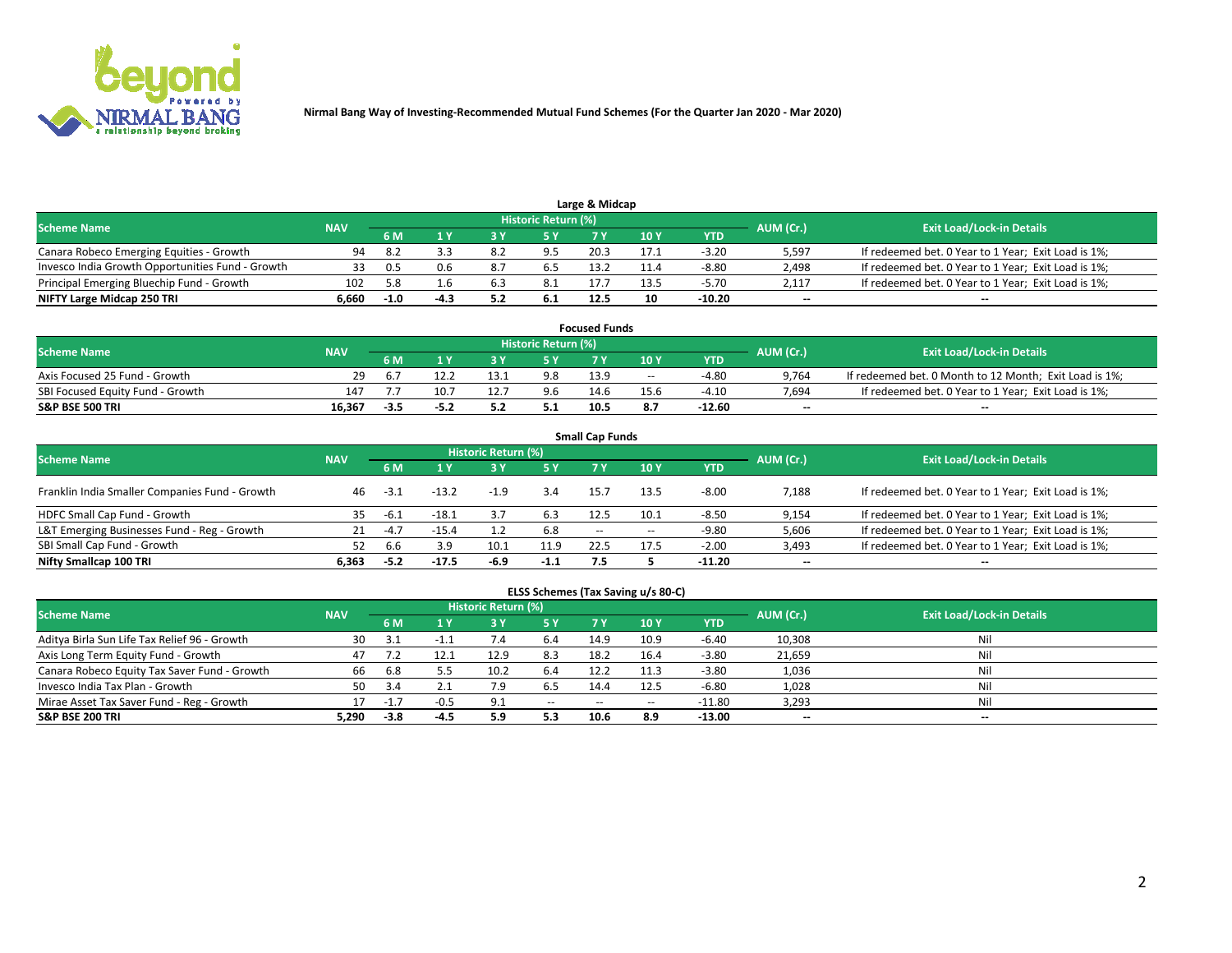

|                                                  |            |        |     |     | Historic Return (%) | Large & Midcap |      |         |                          |                                                     |
|--------------------------------------------------|------------|--------|-----|-----|---------------------|----------------|------|---------|--------------------------|-----------------------------------------------------|
| <b>Scheme Name</b>                               | <b>NAV</b> |        |     |     | 5 Y                 |                | 10Y  | YTD.    | AUM (Cr.)                | <b>Exit Load/Lock-in Details</b>                    |
| Canara Robeco Emerging Equities - Growth         | 94         | -8.2   |     | 8.2 |                     | 20.3           |      | $-3.20$ | 5,597                    | If redeemed bet. 0 Year to 1 Year; Exit Load is 1%; |
| Invesco India Growth Opportunities Fund - Growth | 33         | 0.5    | 0.6 | .8  |                     | 13.2           |      | $-8.80$ | 2,498                    | If redeemed bet. 0 Year to 1 Year; Exit Load is 1%; |
| Principal Emerging Bluechip Fund - Growth        | 102        | 58     | 1.b | 6.3 | 8.1                 | 17.            | 13.5 | $-5.70$ | 2.117                    | If redeemed bet. 0 Year to 1 Year; Exit Load is 1%; |
| NIFTY Large Midcap 250 TRI                       | 6.660      | $-1.0$ |     |     |                     | 12.5           | 10   | -10.20  | $\overline{\phantom{a}}$ | $-$                                                 |

| <b>Focused Funds</b>             |            |      |      |      |                     |      |       |         |           |                                                        |  |  |  |
|----------------------------------|------------|------|------|------|---------------------|------|-------|---------|-----------|--------------------------------------------------------|--|--|--|
| <b>Scheme Name</b>               | <b>NAV</b> |      |      |      | Historic Return (%) |      |       |         |           | <b>Exit Load/Lock-in Details</b>                       |  |  |  |
|                                  |            | 6 M  |      |      |                     |      | 10 Y  | YTD     | AUM (Cr.) |                                                        |  |  |  |
| Axis Focused 25 Fund - Growth    | 29         | b.   |      | 13.1 | 9.8                 | 13.9 | $- -$ | -4.80   | 9,764     | If redeemed bet. 0 Month to 12 Month; Exit Load is 1%; |  |  |  |
| SBI Focused Equity Fund - Growth | 147        |      | 10.7 |      | 9.6                 | 14.6 | 15.6  | $-4.10$ | 7.694     | If redeemed bet. 0 Year to 1 Year; Exit Load is 1%;    |  |  |  |
| <b>S&amp;P BSE 500 TRI</b>       | 16.367     | -3.3 |      |      |                     | 10.5 |       | -12.60  | $\sim$    | $- -$                                                  |  |  |  |

| <b>Small Cap Funds</b>                         |            |                   |         |                     |        |       |            |          |                          |                                                     |  |  |  |
|------------------------------------------------|------------|-------------------|---------|---------------------|--------|-------|------------|----------|--------------------------|-----------------------------------------------------|--|--|--|
| <b>Scheme Name</b>                             | <b>NAV</b> |                   |         | Historic Return (%) |        |       |            |          | AUM (Cr.)                | <b>Exit Load/Lock-in Details</b>                    |  |  |  |
|                                                |            | 6 M<br><b>5 Y</b> |         |                     | 7 Y    | 10Y   | <b>YTD</b> |          |                          |                                                     |  |  |  |
| Franklin India Smaller Companies Fund - Growth | 46         | $-3.1$            | $-13.2$ | $-1.9$              | 3.4    | 15.7  | 13.5       | $-8.00$  | 7,188                    | If redeemed bet. 0 Year to 1 Year; Exit Load is 1%; |  |  |  |
| HDFC Small Cap Fund - Growth                   | 35         | -6.1              | $-18.1$ | 3.7                 | 6.3    | 12.5  | 10.1       | $-8.50$  | 9,154                    | If redeemed bet. 0 Year to 1 Year; Exit Load is 1%; |  |  |  |
| L&T Emerging Businesses Fund - Reg - Growth    |            | $-4.7$            | $-15.4$ |                     | 6.8    | $- -$ | $-$        | -9.80    | 5,606                    | If redeemed bet. 0 Year to 1 Year; Exit Load is 1%; |  |  |  |
| SBI Small Cap Fund - Growth                    | 52         | .bb               | 3.9     | 10.1                | 11.9   | 22.5  | 17.5       | $-2.00$  | 3,493                    | If redeemed bet. 0 Year to 1 Year; Exit Load is 1%; |  |  |  |
| Nifty Smallcap 100 TRI                         | 6.363      | -5.2              | $-17.5$ | $-6.9$              | $-1.1$ | 7.5   |            | $-11.20$ | $\overline{\phantom{a}}$ | $- -$                                               |  |  |  |

## **ELSS Schemes (Tax Saving u/s 80-C)**

| <b>Scheme Name</b>                           | <b>NAV</b> |        |        | <b>Historic Return (%)</b> |               |                          |      |          | AUM (Cr.) | <b>Exit Load/Lock-in Details</b> |
|----------------------------------------------|------------|--------|--------|----------------------------|---------------|--------------------------|------|----------|-----------|----------------------------------|
|                                              |            | 6 M    | 4 Y    | 3 Y                        | <b>5Y</b>     | 7 Y                      | 10Y  | YTD      |           |                                  |
| Aditya Birla Sun Life Tax Relief 96 - Growth | 30         |        |        |                            | 6.4           | 14.9                     | 10.9 | $-6.40$  | 10,308    | Nil                              |
| Axis Long Term Equity Fund - Growth          | 47         |        | 12.1   | 12.9                       | 8.3           | 18.2                     | 16.4 | $-3.80$  | 21,659    | Nil                              |
| Canara Robeco Equity Tax Saver Fund - Growth | 66         | 6.8    |        | 10.2                       | 6.4           | 12.2                     |      | $-3.80$  | 1,036     | Nil                              |
| Invesco India Tax Plan - Growth              | 50         |        | $\sim$ | 7.9                        | 6.5           | 14.4                     | 12.5 | $-6.80$  | 1,028     | Nil                              |
| Mirae Asset Tax Saver Fund - Reg - Growth    |            | -1.    |        | Q.                         | $\sim$ $\sim$ | $\overline{\phantom{a}}$ | --   | $-11.80$ | 3,293     | Nil                              |
| S&P BSE 200 TRI                              | 5,290      | $-3.8$ |        | 5.9                        | 5.3           | 10.6                     | 8.9  | -13.00   | $\sim$    | $- -$                            |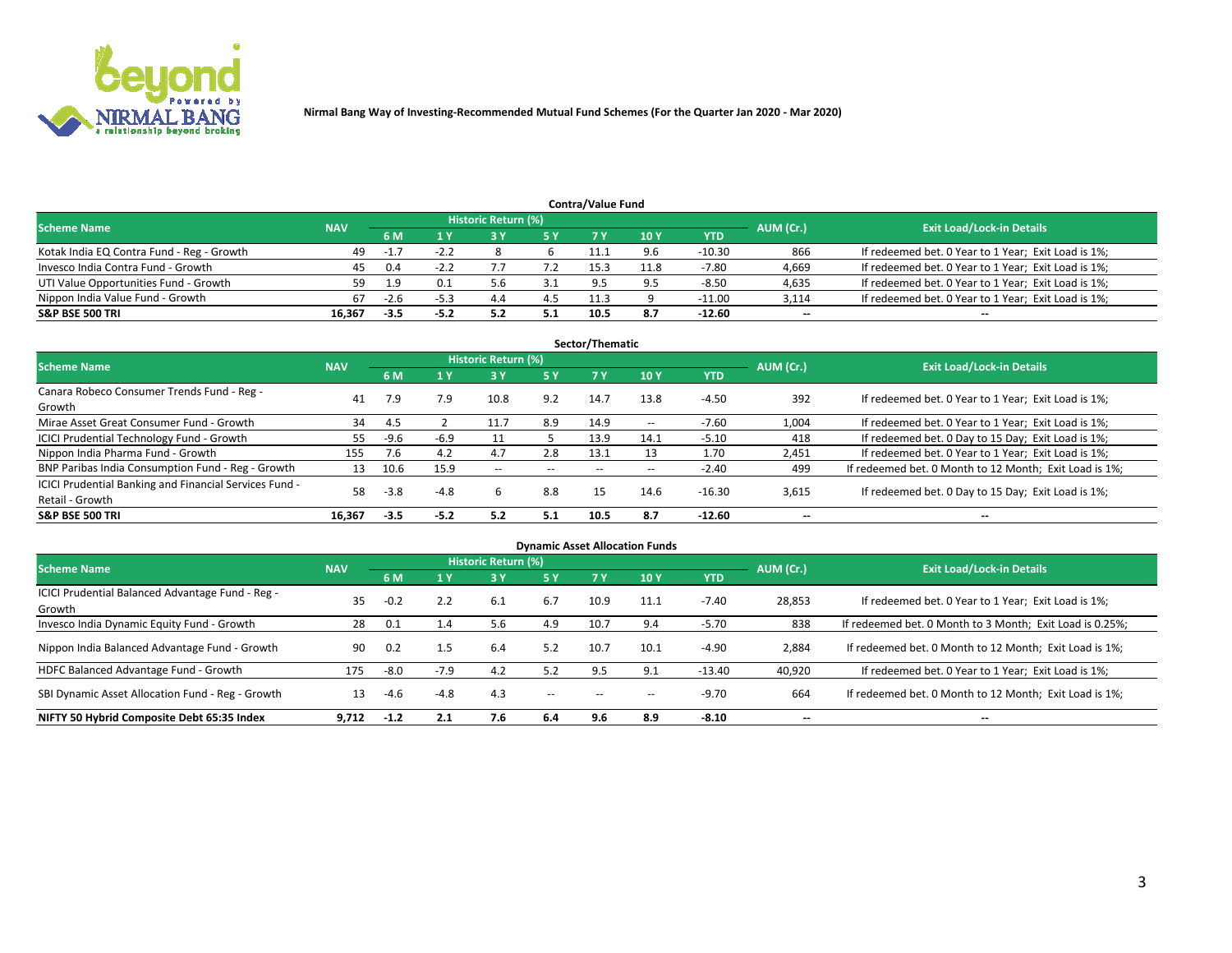

| <b>Contra/Value Fund</b><br>Historic Return (%) |            |        |        |     |     |          |      |          |           |                                                     |  |  |  |  |
|-------------------------------------------------|------------|--------|--------|-----|-----|----------|------|----------|-----------|-----------------------------------------------------|--|--|--|--|
| <b>Scheme Name</b>                              | <b>NAV</b> |        |        |     |     |          |      |          | AUM (Cr.) | <b>Exit Load/Lock-in Details</b>                    |  |  |  |  |
|                                                 |            | 6 M    |        |     | 5 Y | 7 V      | 10Y  | YTD      |           |                                                     |  |  |  |  |
| Kotak India EQ Contra Fund - Reg - Growth       | 49         | $-1.7$ | $-2.2$ |     |     |          | 9.6  | $-10.30$ | 866       | If redeemed bet. 0 Year to 1 Year; Exit Load is 1%; |  |  |  |  |
| Invesco India Contra Fund - Growth              | 45         | 0.4    |        |     |     | 15.3     | 11.8 | $-7.80$  | 4,669     | If redeemed bet. 0 Year to 1 Year; Exit Load is 1%; |  |  |  |  |
| UTI Value Opportunities Fund - Growth           | 59         | 1 Q    |        |     |     | $\Omega$ |      | $-8.50$  | 4,635     | If redeemed bet. 0 Year to 1 Year; Exit Load is 1%; |  |  |  |  |
| Nippon India Value Fund - Growth                | 67         | -2.6   | -5.3   | 4.4 | 4.5 | 11.3     |      | $-11.00$ | 3,114     | If redeemed bet. 0 Year to 1 Year; Exit Load is 1%; |  |  |  |  |
| <b>S&amp;P BSE 500 TRI</b>                      | 16.367     | $-3.5$ | -5.2   |     | 5.1 | 10.5     | 8.7  | -12.60   | $\sim$    | $- -$                                               |  |  |  |  |

| Sector/Thematic                                                           |            |        |        |                     |           |       |               |            |                          |                                                        |  |  |  |  |
|---------------------------------------------------------------------------|------------|--------|--------|---------------------|-----------|-------|---------------|------------|--------------------------|--------------------------------------------------------|--|--|--|--|
| <b>Scheme Name</b>                                                        | <b>NAV</b> |        |        | Historic Return (%) |           |       |               |            | AUM (Cr.)                | <b>Exit Load/Lock-in Details</b>                       |  |  |  |  |
|                                                                           |            | 6 M    | 1 Y    | 73 Y                | <b>5Y</b> | 7 Y   | 10Y           | <b>YTD</b> |                          |                                                        |  |  |  |  |
| Canara Robeco Consumer Trends Fund - Reg -<br>Growth                      | 41         | 7.9    | 7.9    | 10.8                | 9.2       | 14.7  | 13.8          | $-4.50$    | 392                      | If redeemed bet. 0 Year to 1 Year; Exit Load is 1%;    |  |  |  |  |
| Mirae Asset Great Consumer Fund - Growth                                  | 34         | 4.5    |        | 11.7                | 8.9       | 14.9  | $\sim$ $\sim$ | $-7.60$    | 1,004                    | If redeemed bet. 0 Year to 1 Year; Exit Load is 1%;    |  |  |  |  |
| ICICI Prudential Technology Fund - Growth                                 | 55         | $-9.6$ | $-6.9$ |                     |           | 13.9  | 14.1          | $-5.10$    | 418                      | If redeemed bet. 0 Day to 15 Day; Exit Load is 1%;     |  |  |  |  |
| Nippon India Pharma Fund - Growth                                         | 155        | 7.6    | 4.2    | 4.7                 | 2.8       | 13.1  | 13            | 1.70       | 2,451                    | If redeemed bet. 0 Year to 1 Year; Exit Load is 1%;    |  |  |  |  |
| BNP Paribas India Consumption Fund - Reg - Growth                         | 13         | 10.6   | 15.9   | $- -$               | $- -$     | $- -$ | $- -$         | $-2.40$    | 499                      | If redeemed bet. 0 Month to 12 Month; Exit Load is 1%; |  |  |  |  |
| ICICI Prudential Banking and Financial Services Fund -<br>Retail - Growth | 58         | $-3.8$ | $-4.8$ | b                   | 8.8       | 15    | 14.6          | $-16.30$   | 3,615                    | If redeemed bet. 0 Day to 15 Day; Exit Load is 1%;     |  |  |  |  |
| <b>S&amp;P BSE 500 TRI</b>                                                | 16.367     | $-3.5$ | $-5.2$ | 5.2                 | 5.1       | 10.5  | 8.7           | $-12.60$   | $\overline{\phantom{a}}$ | $\overline{\phantom{a}}$                               |  |  |  |  |

|                                                            |            |        |        |                            |        |           | <b>Dynamic Asset Allocation Funds</b> |            |           |                                                          |
|------------------------------------------------------------|------------|--------|--------|----------------------------|--------|-----------|---------------------------------------|------------|-----------|----------------------------------------------------------|
| <b>Scheme Name</b>                                         | <b>NAV</b> |        |        | <b>Historic Return (%)</b> |        |           |                                       |            | AUM (Cr.) | <b>Exit Load/Lock-in Details</b>                         |
|                                                            |            | 6 M    |        | 73 Y                       | 5 Y    | <b>7Y</b> | 10 <sub>Y</sub>                       | <b>YTD</b> |           |                                                          |
| ICICI Prudential Balanced Advantage Fund - Reg -<br>Growth | 35         | $-0.2$ | 2.2    | 6.1                        | 6.7    | 10.9      | 11.1                                  | $-7.40$    | 28,853    | If redeemed bet. 0 Year to 1 Year; Exit Load is 1%;      |
| Invesco India Dynamic Equity Fund - Growth                 | 28         | 0.1    | 4.4    | 5.6                        | 4.9    | 10.7      | 9.4                                   | $-5.70$    | 838       | If redeemed bet. 0 Month to 3 Month; Exit Load is 0.25%; |
| Nippon India Balanced Advantage Fund - Growth              | 90         | 0.2    | 1.5    | 6.4                        | 5.2    | 10.7      | 10.1                                  | $-4.90$    | 2,884     | If redeemed bet. 0 Month to 12 Month; Exit Load is 1%;   |
| HDFC Balanced Advantage Fund - Growth                      | 175        | $-8.0$ | $-7.9$ | 4.2                        | 5.2    | 9.5       | 9.1                                   | $-13.40$   | 40,920    | If redeemed bet. 0 Year to 1 Year; Exit Load is 1%;      |
| SBI Dynamic Asset Allocation Fund - Reg - Growth           | 13         | $-4.6$ | $-4.8$ | 4.3                        | $\sim$ | --        |                                       | $-9.70$    | 664       | If redeemed bet. 0 Month to 12 Month; Exit Load is 1%;   |
| NIFTY 50 Hybrid Composite Debt 65:35 Index                 | 9,712      | $-1.2$ | 2.1    | 7.6                        | 6.4    | 9.6       | 8.9                                   | $-8.10$    | $\sim$    | $\overline{\phantom{a}}$                                 |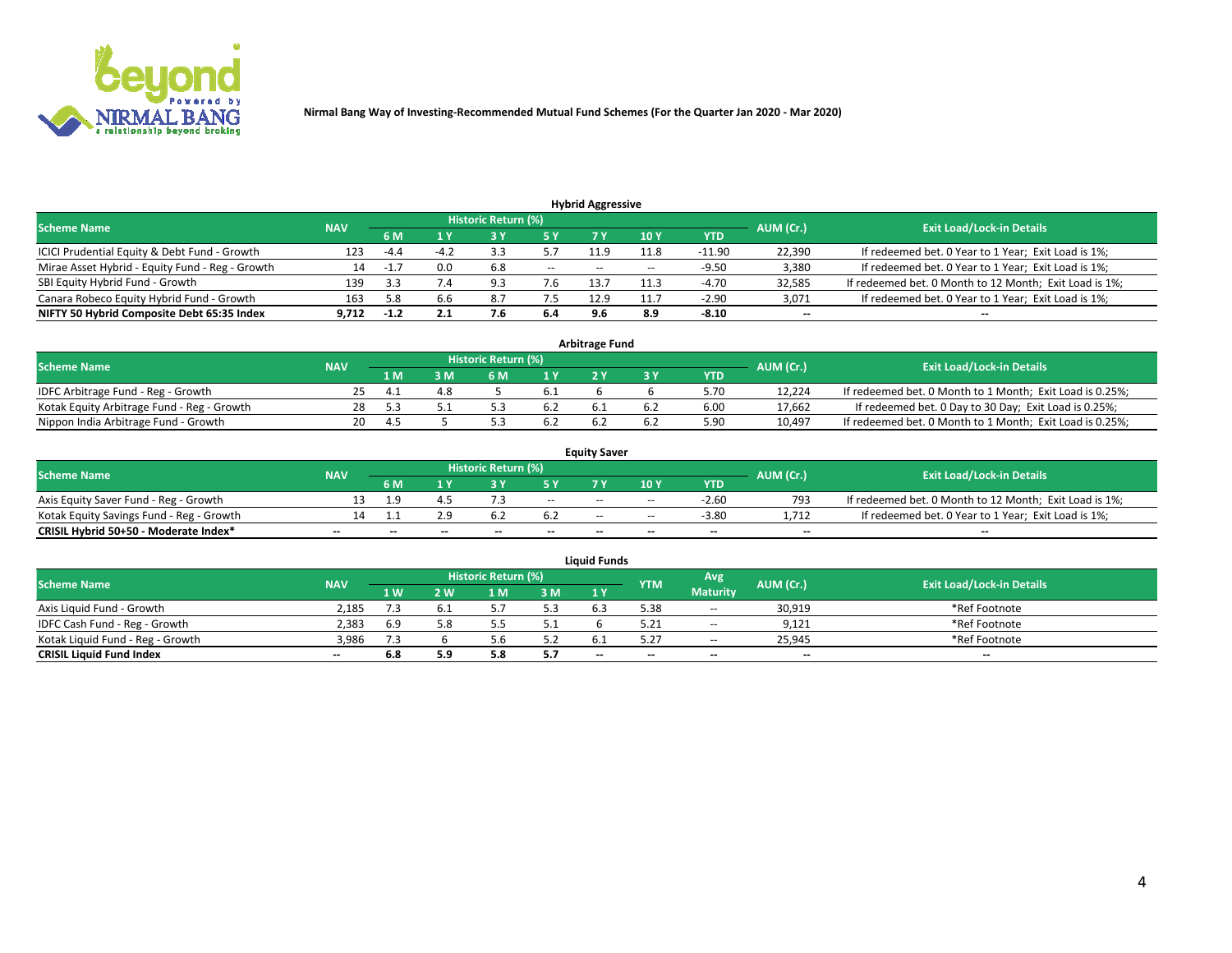

| <b>Hybrid Aggressive</b>                        |            |                                  |                |     |       |       |                 |          |                          |                                                        |  |  |  |  |
|-------------------------------------------------|------------|----------------------------------|----------------|-----|-------|-------|-----------------|----------|--------------------------|--------------------------------------------------------|--|--|--|--|
| <b>Scheme Name</b>                              | AUM (Cr.)  | <b>Exit Load/Lock-in Details</b> |                |     |       |       |                 |          |                          |                                                        |  |  |  |  |
|                                                 | <b>NAV</b> | 6 M                              |                |     | 5 Y   |       | 10 <sub>Y</sub> | YTD      |                          |                                                        |  |  |  |  |
| ICICI Prudential Equity & Debt Fund - Growth    | 123        | $-4.4$                           | $-4$ $\degree$ |     |       | 11.9  | 11.8            | $-11.90$ | 22,390                   | If redeemed bet. 0 Year to 1 Year; Exit Load is 1%;    |  |  |  |  |
| Mirae Asset Hybrid - Equity Fund - Reg - Growth | 14         | $-1$                             | 0.0            | 6.8 | $- -$ | $- -$ | $- -$           | $-9.50$  | 3,380                    | If redeemed bet. 0 Year to 1 Year; Exit Load is 1%;    |  |  |  |  |
| SBI Equity Hybrid Fund - Growth                 | 139        |                                  |                | ۹R  | 7.b   | 13.7  | 11.3            | $-4.70$  | 32,585                   | If redeemed bet. 0 Month to 12 Month; Exit Load is 1%; |  |  |  |  |
| Canara Robeco Equity Hybrid Fund - Growth       | 163        | 5.8                              | 6.6            | 8.7 | 7.5   | 12.9  | 11.7            | $-2.90$  | 3,071                    | If redeemed bet. 0 Year to 1 Year; Exit Load is 1%;    |  |  |  |  |
| NIFTY 50 Hybrid Composite Debt 65:35 Index      | 9.712      | $-1.2$                           |                | 7.0 | 6.4   |       | 8.9             | $-8.10$  | $\overline{\phantom{a}}$ | $- -$                                                  |  |  |  |  |

| <b>Arbitrage Fund</b>                      |            |                |     |                     |     |  |  |            |           |                                                          |  |  |  |
|--------------------------------------------|------------|----------------|-----|---------------------|-----|--|--|------------|-----------|----------------------------------------------------------|--|--|--|
| Scheme Name                                | <b>NAV</b> |                |     | Historic Return (%) |     |  |  |            | AUM (Cr.) | <b>Exit Load/Lock-in Details</b>                         |  |  |  |
|                                            |            | l M            | : M |                     |     |  |  | <b>YTD</b> |           |                                                          |  |  |  |
| IDFC Arbitrage Fund - Reg - Growth         |            | $\overline{a}$ | 4.8 |                     |     |  |  | 5.70       | 12.224    | If redeemed bet. 0 Month to 1 Month; Exit Load is 0.25%; |  |  |  |
| Kotak Equity Arbitrage Fund - Reg - Growth | 28         |                |     |                     | b.Z |  |  | 6.00       | 17.662    | If redeemed bet. 0 Day to 30 Day; Exit Load is 0.25%;    |  |  |  |
| Nippon India Arbitrage Fund - Growth       | 20         | $\Delta$       |     |                     |     |  |  | 5.90       | 10.497    | If redeemed bet. 0 Month to 1 Month; Exit Load is 0.25%; |  |  |  |

|                                          |            |           |                                  |                          |                          | <b>Equity Saver</b> |               |            |                          |                                                        |
|------------------------------------------|------------|-----------|----------------------------------|--------------------------|--------------------------|---------------------|---------------|------------|--------------------------|--------------------------------------------------------|
| Scheme Name                              | <b>NAV</b> | AUM (Cr.) | <b>Exit Load/Lock-in Details</b> |                          |                          |                     |               |            |                          |                                                        |
|                                          |            | 6 M       |                                  |                          | 5 Y                      |                     | $\sqrt{10}$ Y | <b>YTD</b> |                          |                                                        |
| Axis Equity Saver Fund - Reg - Growth    |            | c         |                                  |                          | $\sim$                   | $- -$               | $- -$         | $-2.60$    | 793                      | If redeemed bet. 0 Month to 12 Month; Exit Load is 1%; |
| Kotak Equity Savings Fund - Reg - Growth |            |           | 2.9                              | D.2                      | -6.2                     | $- -$               | $- -$         | $-3.80$    | 1.712                    | If redeemed bet. 0 Year to 1 Year; Exit Load is 1%;    |
| CRISIL Hybrid 50+50 - Moderate Index*    |            | $-$       | $-$                              | $\overline{\phantom{a}}$ | $\overline{\phantom{a}}$ | $\sim$              | --            | $- -$      | $\overline{\phantom{a}}$ | $- -$                                                  |

| <b>Liquid Funds</b>              |            |      |     |                            |       |                          |            |                 |           |                                  |  |  |  |  |
|----------------------------------|------------|------|-----|----------------------------|-------|--------------------------|------------|-----------------|-----------|----------------------------------|--|--|--|--|
| Scheme Name                      | <b>NAV</b> |      |     | <b>Historic Return (%)</b> |       |                          | <b>YTM</b> | Avg             | AUM (Cr.) | <b>Exit Load/Lock-in Details</b> |  |  |  |  |
|                                  |            | 1 W. | ว พ | 1 M                        | 3M    | 1 Y                      |            | <b>Maturity</b> |           |                                  |  |  |  |  |
| Axis Liquid Fund - Growth        | 2.185      |      |     |                            | 5.3   | 6.3                      | 5.38       | $-$             | 30,919    | *Ref Footnote                    |  |  |  |  |
| IDFC Cash Fund - Reg - Growth    | 2.383      |      |     |                            | ل . ل |                          |            | $- -$           | 9,121     | *Ref Footnote                    |  |  |  |  |
| Kotak Liquid Fund - Reg - Growth | 3,986      | 7.3  |     |                            | 5.2   |                          |            | $\sim$ $\sim$   | 25,945    | *Ref Footnote                    |  |  |  |  |
| <b>CRISIL Liquid Fund Index</b>  | $- -$      |      | 5.9 |                            | 5.7   | $\overline{\phantom{a}}$ | $-$        | $- -$           | $\sim$    | $\sim$                           |  |  |  |  |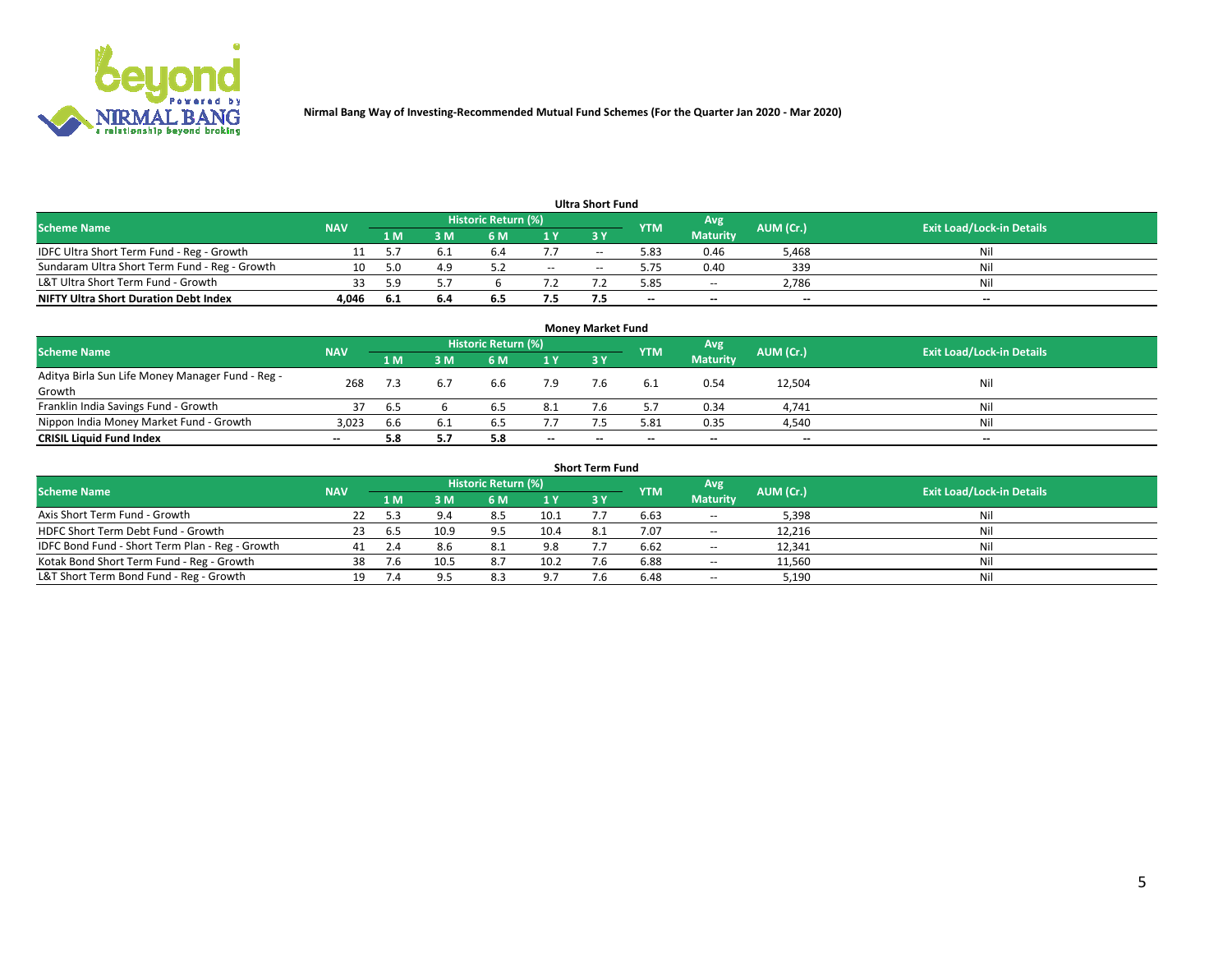

| <b>Ultra Short Fund</b>                       |            |     |     |                            |        |            |            |                 |           |                                  |  |  |  |  |
|-----------------------------------------------|------------|-----|-----|----------------------------|--------|------------|------------|-----------------|-----------|----------------------------------|--|--|--|--|
| <b>Scheme Name</b>                            | <b>NAV</b> |     |     | <b>Historic Return (%)</b> |        |            | <b>YTM</b> | Avg             | AUM (Cr.) | <b>Exit Load/Lock-in Details</b> |  |  |  |  |
|                                               |            | 1 M | 3 M | 6 M                        | 1 Y    | <b>3 Y</b> |            | <b>Maturity</b> |           |                                  |  |  |  |  |
| IDFC Ultra Short Term Fund - Reg - Growth     |            |     |     | ю.                         |        | $-$        | 5.83       | 0.46            | 5,468     | Nil                              |  |  |  |  |
| Sundaram Ultra Short Term Fund - Reg - Growth |            |     | 4.9 |                            | $\sim$ | $-$        | 5.75       | 0.40            | 339       | Nil                              |  |  |  |  |
| L&T Ultra Short Term Fund - Growth            |            | 5 Q |     |                            |        |            | 5.85       | $-$             | 2,786     | Nil                              |  |  |  |  |
| <b>NIFTY Ultra Short Duration Debt Index</b>  | 4,046      | 6.1 | 6.4 | 6.5                        | 7.5    |            | --         | $-$             | $- -$     | $- -$                            |  |  |  |  |

| <b>Monev Market Fund</b>                                   |            |     |     |                     |        |        |            |                 |                          |                                  |  |  |  |  |
|------------------------------------------------------------|------------|-----|-----|---------------------|--------|--------|------------|-----------------|--------------------------|----------------------------------|--|--|--|--|
| <b>Scheme Name</b>                                         | <b>NAV</b> |     |     | Historic Return (%) |        |        | <b>YTM</b> | Avg             | AUM (Cr.)                | <b>Exit Load/Lock-in Details</b> |  |  |  |  |
|                                                            |            | 1 M | 3 M | 6 M                 | 1Y     | 3Y     |            | <b>Maturity</b> |                          |                                  |  |  |  |  |
| Aditya Birla Sun Life Money Manager Fund - Reg -<br>Growth | 268        |     |     | 6.6                 | 7.9    |        | 6.1        | 0.54            | 12,504                   | Nil                              |  |  |  |  |
| Franklin India Savings Fund - Growth                       |            | 6.5 |     | b.5                 | 8.1    |        |            | 0.34            | 4,741                    | Nil                              |  |  |  |  |
| Nippon India Money Market Fund - Growth                    | 3,023      | 6.6 | 6.1 | b.5                 | 7.7    |        | 5.81       | 0.35            | 4,540                    | Nil                              |  |  |  |  |
| <b>CRISIL Liquid Fund Index</b>                            | $- -$      | 5.8 |     |                     | $\sim$ | $\sim$ | --         | $- -$           | $\overline{\phantom{a}}$ | $- -$                            |  |  |  |  |

| <b>Short Term Fund</b>                          |            |        |      |                            |      |           |            |                 |           |                                  |  |  |  |  |
|-------------------------------------------------|------------|--------|------|----------------------------|------|-----------|------------|-----------------|-----------|----------------------------------|--|--|--|--|
| <b>Scheme Name</b>                              | <b>NAV</b> |        |      | <b>Historic Return (%)</b> |      |           | <b>YTM</b> | Avg             | AUM (Cr.) | <b>Exit Load/Lock-in Details</b> |  |  |  |  |
|                                                 |            | 1 M    | 3 M  | <b>6M</b>                  | 1Y   | <b>3Y</b> |            | <b>Maturity</b> |           |                                  |  |  |  |  |
| Axis Short Term Fund - Growth                   |            |        | 9.4  | 8.5                        | 10.1 |           | 6.63       | $-$             | 5,398     | Nil                              |  |  |  |  |
| HDFC Short Term Debt Fund - Growth              | 23         | . ხ. ა | 10.9 | 9.5                        | 10.4 | 8.1       | 7.07       | $\sim$          | 12,216    | Nil                              |  |  |  |  |
| IDFC Bond Fund - Short Term Plan - Reg - Growth |            |        | 8.6  | -8.1                       | 9.8  |           | 6.62       | $\sim$          | 12.341    | Nil                              |  |  |  |  |
| Kotak Bond Short Term Fund - Reg - Growth       | 38         |        | 10.5 | 8.7                        | 10.2 |           | 6.88       | $\sim$          | 11,560    | Nil                              |  |  |  |  |
| L&T Short Term Bond Fund - Reg - Growth         |            |        | qς   | 8.3                        | 9.7  |           | 6.48       | $- -$           | 5,190     | Nil                              |  |  |  |  |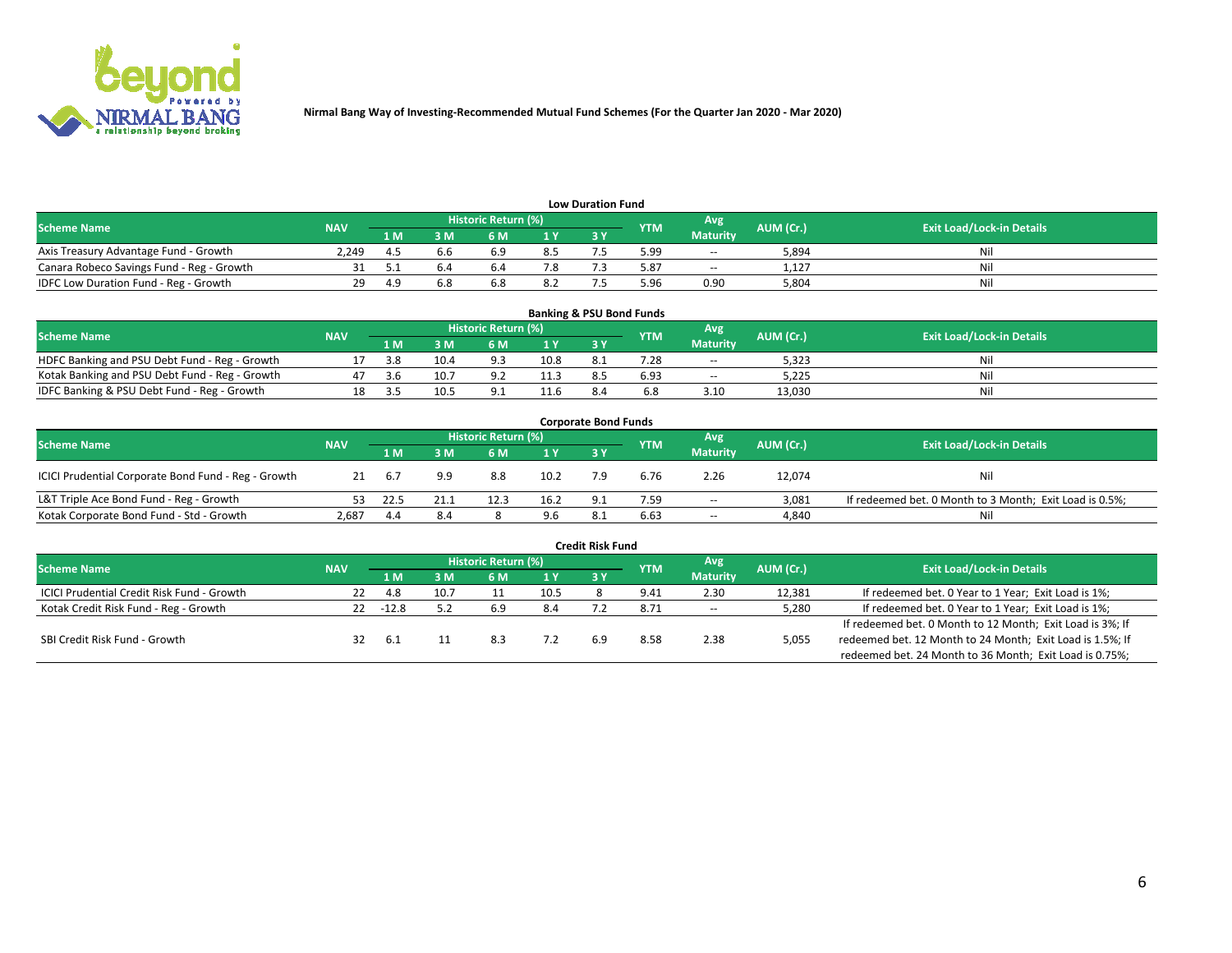

| <b>Low Duration Fund</b>                  |            |     |     |                     |                |     |            |                 |           |                                  |  |  |  |
|-------------------------------------------|------------|-----|-----|---------------------|----------------|-----|------------|-----------------|-----------|----------------------------------|--|--|--|
| <b>Scheme Name</b>                        | <b>NAV</b> |     |     | Historic Return (%) |                |     | <b>YTM</b> | Avg             | AUM (Cr.) | <b>Exit Load/Lock-in Details</b> |  |  |  |
|                                           |            | 1 M | sм  | 6 M                 | 1 <sub>V</sub> | 3 Y |            | <b>Maturity</b> |           |                                  |  |  |  |
| Axis Treasury Advantage Fund - Growth     | 2.249      |     | b.b | 6.9                 | 8.5            |     | 5.99       | $- -$           | 5,894     | Nil                              |  |  |  |
| Canara Robeco Savings Fund - Reg - Growth |            |     |     | b.4                 |                |     | 5.87       | $- -$           | 1,127     | Nil                              |  |  |  |
| IDFC Low Duration Fund - Reg - Growth     | 29         | 4 q | 6.8 | 6.8                 | 8.2            |     | .96ذ       | 0.90            | 5.804     | Nil                              |  |  |  |

| <b>Banking &amp; PSU Bond Funds</b>            |            |     |      |                     |      |           |            |                 |           |                                  |  |  |  |
|------------------------------------------------|------------|-----|------|---------------------|------|-----------|------------|-----------------|-----------|----------------------------------|--|--|--|
| <b>Scheme Name</b>                             | <b>NAV</b> |     |      | Historic Return (%) |      |           | <b>YTM</b> | Avg             | AUM (Cr.) | <b>Exit Load/Lock-in Details</b> |  |  |  |
|                                                |            | 1 M | sм   | 6 M                 |      | <b>3Y</b> |            | <b>Maturity</b> |           |                                  |  |  |  |
| HDFC Banking and PSU Debt Fund - Reg - Growth  |            | 3.8 | 10.4 | 9.3                 | 10.8 | 8.1       | 7.28       | $\sim$ $\sim$   | 5,323     | Ni                               |  |  |  |
| Kotak Banking and PSU Debt Fund - Reg - Growth |            | 3.b | 10.7 | റാ                  | 11.3 |           | 6.93       | $\sim$ $\sim$   | 5.225     | Ni                               |  |  |  |
| IDFC Banking & PSU Debt Fund - Reg - Growth    |            |     | 10.5 |                     | 11.6 |           |            | 3.10            | 13.030    | Ni                               |  |  |  |

| <b>Corporate Bond Funds</b>                                                                                                          |       |      |     |      |      |            |      |                 |        |                                                         |  |  |  |
|--------------------------------------------------------------------------------------------------------------------------------------|-------|------|-----|------|------|------------|------|-----------------|--------|---------------------------------------------------------|--|--|--|
| <b>Historic Return (%)</b><br>Avg<br>AUM (Cr.)<br><b>Exit Load/Lock-in Details</b><br><b>Scheme Name</b><br><b>NAV</b><br><b>YTM</b> |       |      |     |      |      |            |      |                 |        |                                                         |  |  |  |
|                                                                                                                                      |       | 1 M  | 8 M | 6 M  | 1 Y  | <b>3 Y</b> |      | <b>Maturity</b> |        |                                                         |  |  |  |
| ICICI Prudential Corporate Bond Fund - Reg - Growth                                                                                  |       | 6.7  | 9.9 | 8.8  | 10.2 |            | 6.76 | 2.26            | 12,074 | Nil                                                     |  |  |  |
| L&T Triple Ace Bond Fund - Reg - Growth                                                                                              |       | 22.5 |     | 12.3 | 16.2 | $\Omega$   | 7.59 | $\sim$          | 3,081  | If redeemed bet. 0 Month to 3 Month; Exit Load is 0.5%; |  |  |  |
| Kotak Corporate Bond Fund - Std - Growth                                                                                             | 2,687 | 4.4  | 8.4 |      | 9.6  |            | 6.63 | $\sim$ $\sim$   | 4,840  | Nil                                                     |  |  |  |

|                                            |            |           |      |                     |      | <b>Credit Risk Fund</b> |            |                 |           |                                                           |
|--------------------------------------------|------------|-----------|------|---------------------|------|-------------------------|------------|-----------------|-----------|-----------------------------------------------------------|
| <b>Scheme Name</b>                         | <b>NAV</b> |           |      | Historic Return (%) |      |                         | <b>YTM</b> | Avg             | AUM (Cr.) | <b>Exit Load/Lock-in Details</b>                          |
|                                            |            | 1 M       | : M  | 6 M                 | '1 Y | 3 Y                     |            | <b>Maturity</b> |           |                                                           |
| ICICI Prudential Credit Risk Fund - Growth | 22         | 4.8       | 10.7 |                     | 10.5 |                         | 9.41       | 2.30            | 12,381    | If redeemed bet. 0 Year to 1 Year; Exit Load is 1%;       |
| Kotak Credit Risk Fund - Reg - Growth      | 22         | -12.8     |      | 6.9                 | 8.4  |                         | 8.71       | $\sim$ $\sim$   | 5,280     | If redeemed bet. 0 Year to 1 Year; Exit Load is 1%;       |
|                                            |            |           |      |                     |      |                         |            |                 |           | If redeemed bet. 0 Month to 12 Month; Exit Load is 3%; If |
| SBI Credit Risk Fund - Growth              |            | <b>b.</b> |      | 8.3                 |      |                         | 8.58       | 2.38            | 5,055     | redeemed bet. 12 Month to 24 Month; Exit Load is 1.5%; If |
|                                            |            |           |      |                     |      |                         |            |                 |           | redeemed bet. 24 Month to 36 Month; Exit Load is 0.75%;   |